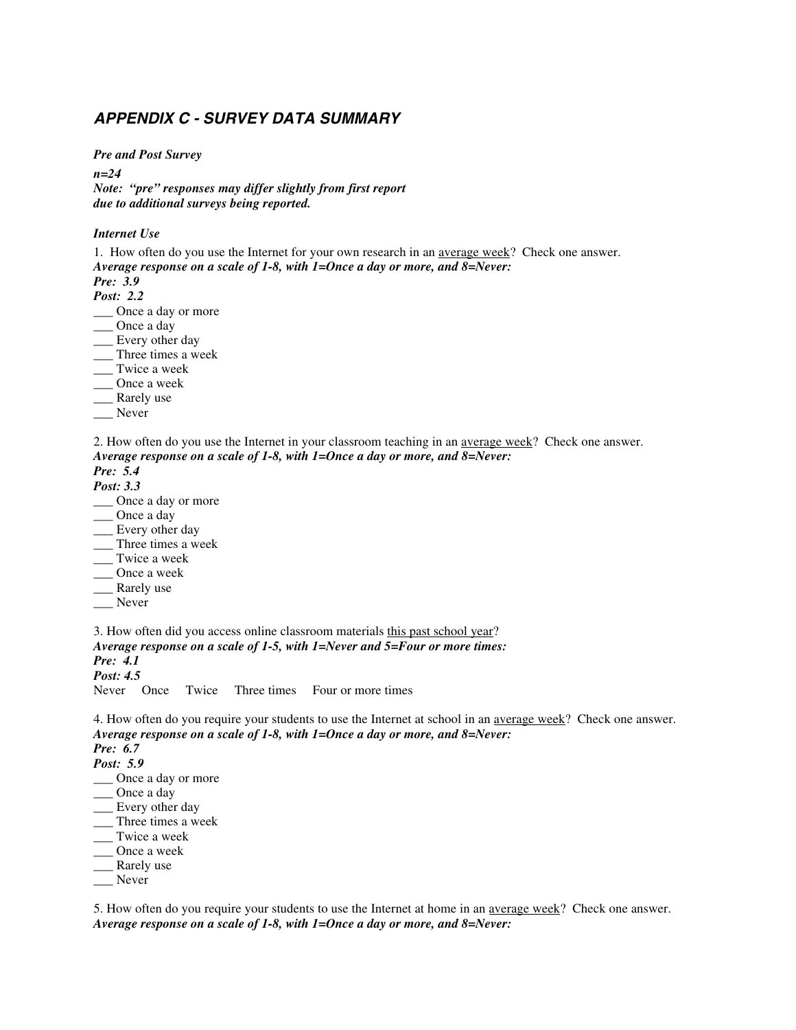# *APPENDIX C - SURVEY DATA SUMMARY*

*Pre and Post Survey* 

*n=24* 

*Note: "pre" responses may differ slightly from first report due to additional surveys being reported.* 

#### *Internet Use*

1. How often do you use the Internet for your own research in an average week? Check one answer. *Average response on a scale of 1-8, with 1=Once a day or more, and 8=Never:* 

*Pre: 3.9 Post: 2.2*

\_\_\_ Once a day or more

\_\_\_ Once a day

\_\_ Every other day

\_\_\_ Three times a week

\_\_\_ Twice a week

\_\_\_ Once a week

\_\_\_ Rarely use

\_\_\_ Never

2. How often do you use the Internet in your classroom teaching in an average week? Check one answer. *Average response on a scale of 1-8, with 1=Once a day or more, and 8=Never:* 

# *Pre: 5.4*

*Post: 3.3*

- \_\_\_ Once a day or more
- \_\_\_ Once a day
- \_\_ Every other day
- \_\_\_ Three times a week
- Twice a week
- \_\_\_ Once a week
- \_\_\_ Rarely use
- \_\_\_ Never

3. How often did you access online classroom materials this past school year? *Average response on a scale of 1-5, with 1=Never and 5=Four or more times: Pre: 4.1 Post: 4.5*

Never Once Twice Three times Four or more times

4. How often do you require your students to use the Internet at school in an average week? Check one answer. *Average response on a scale of 1-8, with 1=Once a day or more, and 8=Never: Pre: 6.7* 

*Post: 5.9*

- \_\_\_ Once a day or more
- \_\_\_ Once a day

\_\_ Every other day

- \_\_\_ Three times a week
- \_\_\_ Twice a week
- \_\_\_ Once a week
- \_\_\_ Rarely use
- \_\_\_ Never

5. How often do you require your students to use the Internet at home in an <u>average week</u>? Check one answer. *Average response on a scale of 1-8, with 1=Once a day or more, and 8=Never:*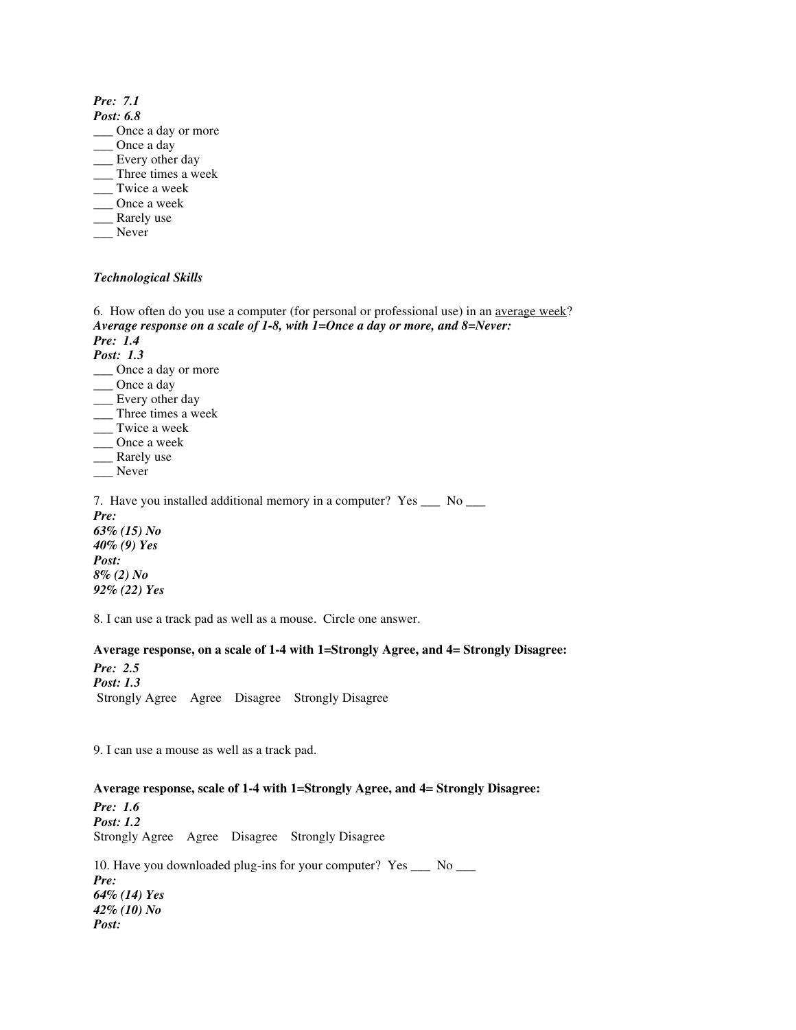*Pre: 7.1 Post: 6.8*

- \_\_\_ Once a day or more
- \_\_\_ Once a day
- \_\_\_ Every other day
- \_\_\_ Three times a week
- \_\_\_ Twice a week
- \_\_\_ Once a week
- \_\_\_ Rarely use
- Never
- 

#### *Technological Skills*

6. How often do you use a computer (for personal or professional use) in an average week? *Average response on a scale of 1-8, with 1=Once a day or more, and 8=Never: Pre: 1.4 Post: 1.3* \_\_\_ Once a day or more \_\_\_ Once a day \_\_\_ Every other day \_\_\_ Three times a week \_\_\_ Twice a week \_\_\_ Once a week \_\_\_ Rarely use \_\_\_ Never 7. Have you installed additional memory in a computer? Yes \_\_\_ No \_\_\_ *Pre: 63% (15) No 40% (9) Yes Post: 8% (2) No 92% (22) Yes* 

8. I can use a track pad as well as a mouse. Circle one answer.

## **Average response, on a scale of 1-4 with 1=Strongly Agree, and 4= Strongly Disagree:**

*Pre: 2.5 Post: 1.3* Strongly Agree Agree Disagree Strongly Disagree

9. I can use a mouse as well as a track pad.

#### **Average response, scale of 1-4 with 1=Strongly Agree, and 4= Strongly Disagree:**

*Pre: 1.6 Post: 1.2* Strongly Agree Agree Disagree Strongly Disagree

10. Have you downloaded plug-ins for your computer? Yes \_\_\_ No \_\_\_ *Pre: 64% (14) Yes 42% (10) No Post:*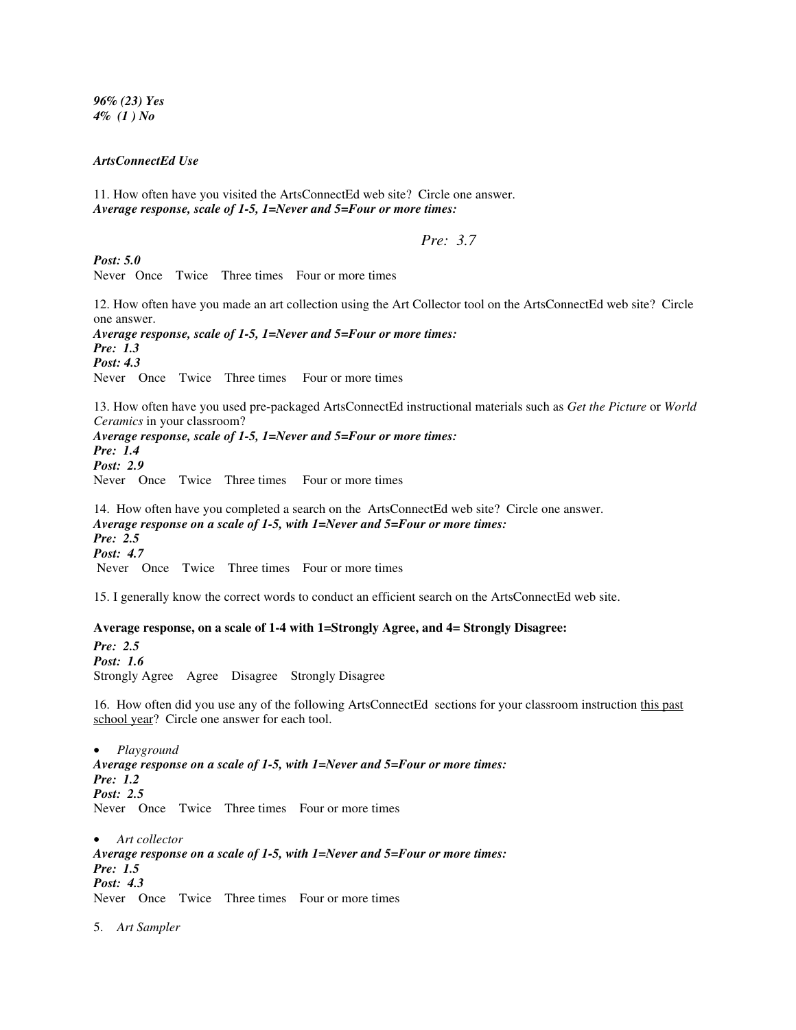*96% (23) Yes 4% (1 ) No* 

#### *ArtsConnectEd Use*

11. How often have you visited the ArtsConnectEd web site? Circle one answer. *Average response, scale of 1-5, 1=Never and 5=Four or more times:* 

#### *Pre: 3.7*

*Post: 5.0*

Never Once Twice Three times Four or more times

12. How often have you made an art collection using the Art Collector tool on the ArtsConnectEd web site? Circle one answer.

*Average response, scale of 1-5, 1=Never and 5=Four or more times: Pre: 1.3 Post: 4.3* Never Once Twice Three times Four or more times

13. How often have you used pre-packaged ArtsConnectEd instructional materials such as *Get the Picture* or *World Ceramics* in your classroom?

*Average response, scale of 1-5, 1=Never and 5=Four or more times: Pre: 1.4 Post: 2.9* Never Once Twice Three times Four or more times

14. How often have you completed a search on the ArtsConnectEd web site? Circle one answer. *Average response on a scale of 1-5, with 1=Never and 5=Four or more times: Pre: 2.5 Post: 4.7* Never Once Twice Three times Four or more times

15. I generally know the correct words to conduct an efficient search on the ArtsConnectEd web site.

#### **Average response, on a scale of 1-4 with 1=Strongly Agree, and 4= Strongly Disagree:**

*Pre: 2.5 Post: 1.6* Strongly Agree Agree Disagree Strongly Disagree

16. How often did you use any of the following ArtsConnectEd sections for your classroom instruction this past school year? Circle one answer for each tool.

• *Playground Average response on a scale of 1-5, with 1=Never and 5=Four or more times: Pre: 1.2 Post: 2.5* Never Once Twice Three times Four or more times

• *Art collector Average response on a scale of 1-5, with 1=Never and 5=Four or more times: Pre: 1.5 Post: 4.3*  Never Once Twice Three times Four or more times

5. *Art Sampler*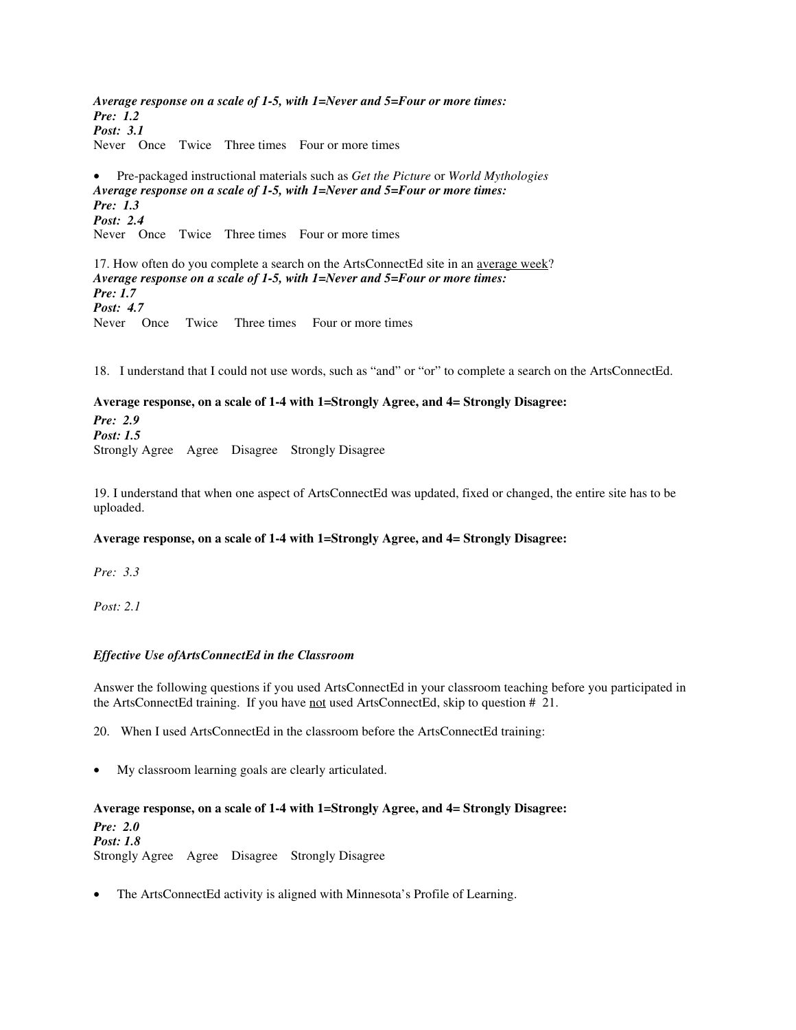*Average response on a scale of 1-5, with 1=Never and 5=Four or more times: Pre: 1.2 Post: 3.1* Never Once Twice Three times Four or more times

• Pre-packaged instructional materials such as *Get the Picture* or *World Mythologies Average response on a scale of 1-5, with 1=Never and 5=Four or more times: Pre: 1.3 Post: 2.4* Never Once Twice Three times Four or more times

17. How often do you complete a search on the ArtsConnectEd site in an average week? *Average response on a scale of 1-5, with 1=Never and 5=Four or more times: Pre: 1.7 Post: 4.7* Never Once Twice Three times Four or more times

18. I understand that I could not use words, such as "and" or "or" to complete a search on the ArtsConnectEd.

#### **Average response, on a scale of 1-4 with 1=Strongly Agree, and 4= Strongly Disagree:**

*Pre: 2.9 Post: 1.5* Strongly Agree Agree Disagree Strongly Disagree

19. I understand that when one aspect of ArtsConnectEd was updated, fixed or changed, the entire site has to be uploaded.

#### **Average response, on a scale of 1-4 with 1=Strongly Agree, and 4= Strongly Disagree:**

*Pre: 3.3* 

*Post: 2.1* 

## *Effective Use ofArtsConnectEd in the Classroom*

Answer the following questions if you used ArtsConnectEd in your classroom teaching before you participated in the ArtsConnectEd training. If you have not used ArtsConnectEd, skip to question # 21.

20. When I used ArtsConnectEd in the classroom before the ArtsConnectEd training:

• My classroom learning goals are clearly articulated.

#### **Average response, on a scale of 1-4 with 1=Strongly Agree, and 4= Strongly Disagree:**

*Pre: 2.0 Post: 1.8*  Strongly Agree Agree Disagree Strongly Disagree

The ArtsConnectEd activity is aligned with Minnesota's Profile of Learning.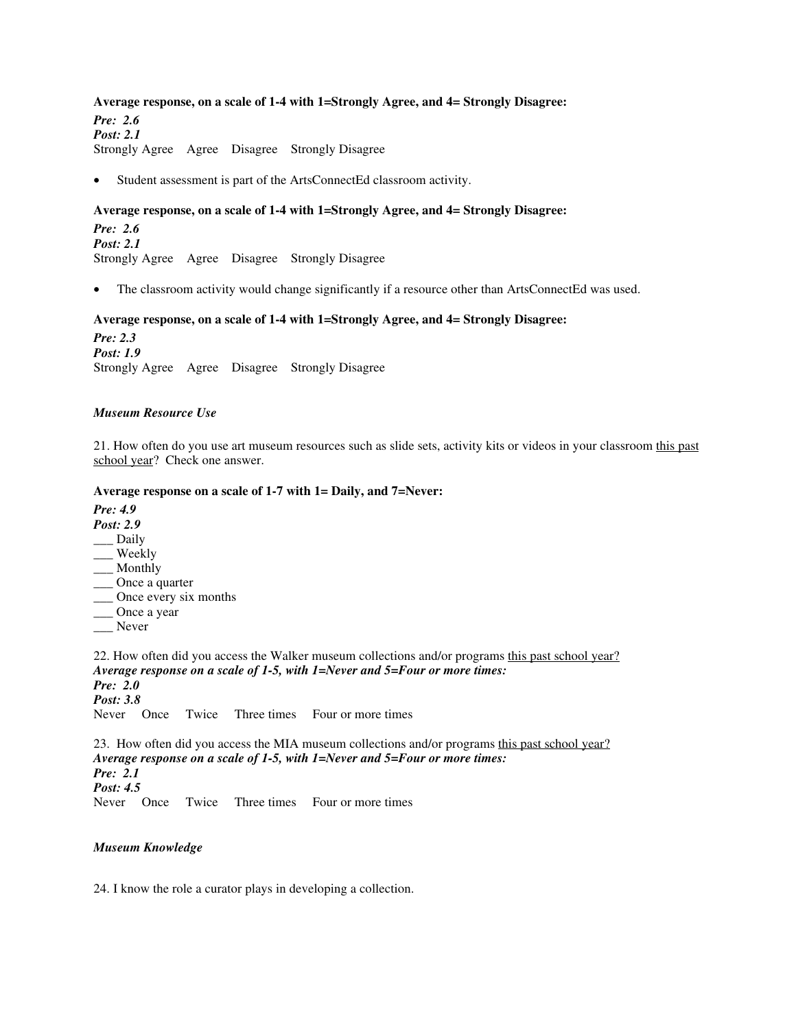#### **Average response, on a scale of 1-4 with 1=Strongly Agree, and 4= Strongly Disagree:**

*Pre: 2.6 Post: 2.1* Strongly Agree Agree Disagree Strongly Disagree

Student assessment is part of the ArtsConnectEd classroom activity.

#### **Average response, on a scale of 1-4 with 1=Strongly Agree, and 4= Strongly Disagree:**

*Pre: 2.6 Post: 2.1*  Strongly Agree Agree Disagree Strongly Disagree

The classroom activity would change significantly if a resource other than ArtsConnectEd was used.

#### **Average response, on a scale of 1-4 with 1=Strongly Agree, and 4= Strongly Disagree:**

*Pre: 2.3 Post: 1.9*  Strongly Agree Agree Disagree Strongly Disagree

#### *Museum Resource Use*

21. How often do you use art museum resources such as slide sets, activity kits or videos in your classroom this past school year? Check one answer.

#### **Average response on a scale of 1-7 with 1= Daily, and 7=Never:**

*Pre: 4.9* 

- *Post: 2.9*
- \_\_\_ Daily
- \_\_\_ Weekly
- \_\_\_ Monthly
- \_\_\_ Once a quarter \_\_\_ Once every six months
- \_\_\_ Once a year
- \_\_\_ Never
- 

22. How often did you access the Walker museum collections and/or programs this past school year? *Average response on a scale of 1-5, with 1=Never and 5=Four or more times: Pre: 2.0 Post: 3.8*  Never Once Twice Three times Four or more times

23. How often did you access the MIA museum collections and/or programs this past school year? *Average response on a scale of 1-5, with 1=Never and 5=Four or more times: Pre: 2.1 Post: 4.5*  Never Once Twice Three times Four or more times

#### *Museum Knowledge*

24. I know the role a curator plays in developing a collection.